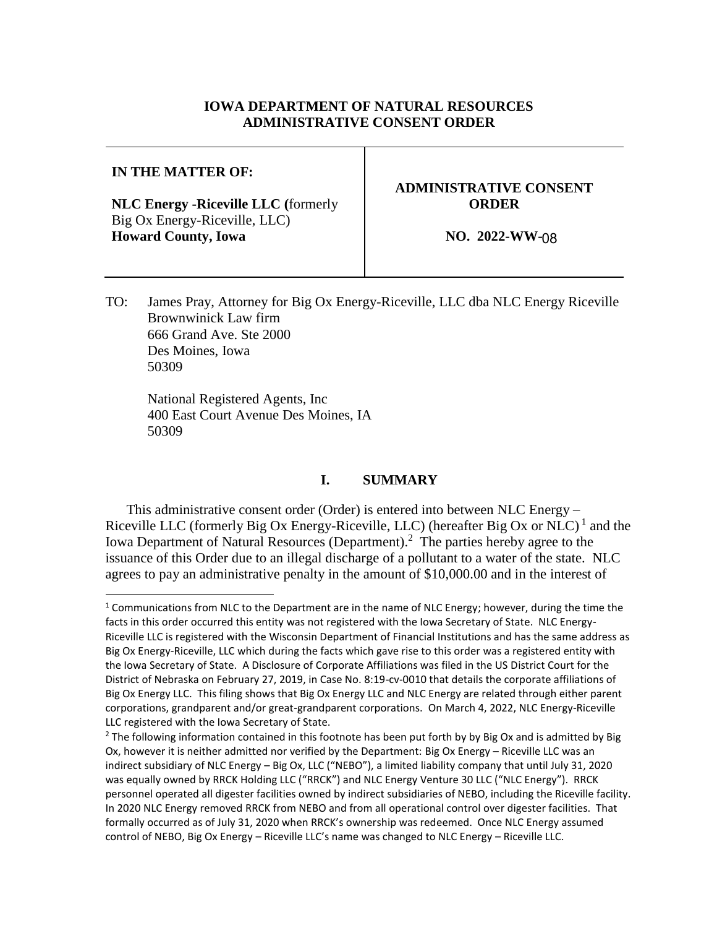#### **IOWA DEPARTMENT OF NATURAL RESOURCES ADMINISTRATIVE CONSENT ORDER**

#### **IN THE MATTER OF:**

l

**NLC Energy -Riceville LLC (**formerly Big Ox Energy-Riceville, LLC) **Howard County, Iowa**

# **ADMINISTRATIVE CONSENT ORDER**

**NO. 2022-WW-**08

TO: James Pray, Attorney for Big Ox Energy-Riceville, LLC dba NLC Energy Riceville Brownwinick Law firm 666 Grand Ave. Ste 2000 Des Moines, Iowa 50309

National Registered Agents, Inc 400 East Court Avenue Des Moines, IA 50309

#### **I. SUMMARY**

This administrative consent order (Order) is entered into between NLC Energy – Riceville LLC (formerly Big Ox Energy-Riceville, LLC) (hereafter Big Ox or NLC)<sup>1</sup> and the Iowa Department of Natural Resources (Department).<sup>2</sup> The parties hereby agree to the issuance of this Order due to an illegal discharge of a pollutant to a water of the state. NLC agrees to pay an administrative penalty in the amount of \$10,000.00 and in the interest of

<sup>&</sup>lt;sup>1</sup> Communications from NLC to the Department are in the name of NLC Energy; however, during the time the facts in this order occurred this entity was not registered with the Iowa Secretary of State. NLC Energy-Riceville LLC is registered with the Wisconsin Department of Financial Institutions and has the same address as Big Ox Energy-Riceville, LLC which during the facts which gave rise to this order was a registered entity with the Iowa Secretary of State. A Disclosure of Corporate Affiliations was filed in the US District Court for the District of Nebraska on February 27, 2019, in Case No. 8:19-cv-0010 that details the corporate affiliations of Big Ox Energy LLC. This filing shows that Big Ox Energy LLC and NLC Energy are related through either parent corporations, grandparent and/or great-grandparent corporations. On March 4, 2022, NLC Energy-Riceville LLC registered with the Iowa Secretary of State.

<sup>&</sup>lt;sup>2</sup> The following information contained in this footnote has been put forth by by Big Ox and is admitted by Big Ox, however it is neither admitted nor verified by the Department: Big Ox Energy – Riceville LLC was an indirect subsidiary of NLC Energy – Big Ox, LLC ("NEBO"), a limited liability company that until July 31, 2020 was equally owned by RRCK Holding LLC ("RRCK") and NLC Energy Venture 30 LLC ("NLC Energy"). RRCK personnel operated all digester facilities owned by indirect subsidiaries of NEBO, including the Riceville facility. In 2020 NLC Energy removed RRCK from NEBO and from all operational control over digester facilities. That formally occurred as of July 31, 2020 when RRCK's ownership was redeemed. Once NLC Energy assumed control of NEBO, Big Ox Energy – Riceville LLC's name was changed to NLC Energy – Riceville LLC.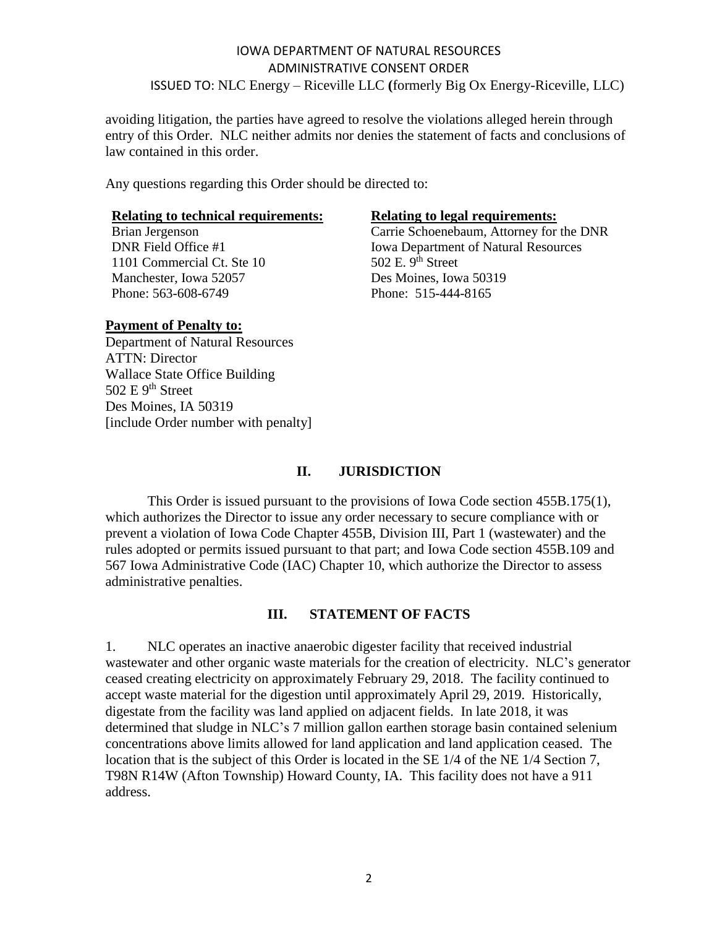avoiding litigation, the parties have agreed to resolve the violations alleged herein through entry of this Order. NLC neither admits nor denies the statement of facts and conclusions of law contained in this order.

Any questions regarding this Order should be directed to:

# **Relating to technical requirements:**<br>Brian Jergenson **Relating to legal requirements:**<br>Carrie Schoenebaum, Attorney for

1101 Commercial Ct. Ste 10 Manchester, Iowa 52057 Des Moines, Iowa 50319 Phone: 563-608-6749 Phone: 515-444-8165

Carrie Schoenebaum, Attorney for the DNR DNR Field Office #1 Iowa Department of Natural Resources<br>1101 Commercial Ct. Ste 10 502 E. 9<sup>th</sup> Street

#### **Payment of Penalty to:**

Department of Natural Resources ATTN: Director Wallace State Office Building 502 E 9<sup>th</sup> Street Des Moines, IA 50319 [include Order number with penalty]

#### **II. JURISDICTION**

This Order is issued pursuant to the provisions of Iowa Code section 455B.175(1), which authorizes the Director to issue any order necessary to secure compliance with or prevent a violation of Iowa Code Chapter 455B, Division III, Part 1 (wastewater) and the rules adopted or permits issued pursuant to that part; and Iowa Code section 455B.109 and 567 Iowa Administrative Code (IAC) Chapter 10, which authorize the Director to assess administrative penalties.

#### **III. STATEMENT OF FACTS**

1. NLC operates an inactive anaerobic digester facility that received industrial wastewater and other organic waste materials for the creation of electricity. NLC's generator ceased creating electricity on approximately February 29, 2018. The facility continued to accept waste material for the digestion until approximately April 29, 2019. Historically, digestate from the facility was land applied on adjacent fields. In late 2018, it was determined that sludge in NLC's 7 million gallon earthen storage basin contained selenium concentrations above limits allowed for land application and land application ceased. The location that is the subject of this Order is located in the SE 1/4 of the NE 1/4 Section 7, T98N R14W (Afton Township) Howard County, IA. This facility does not have a 911 address.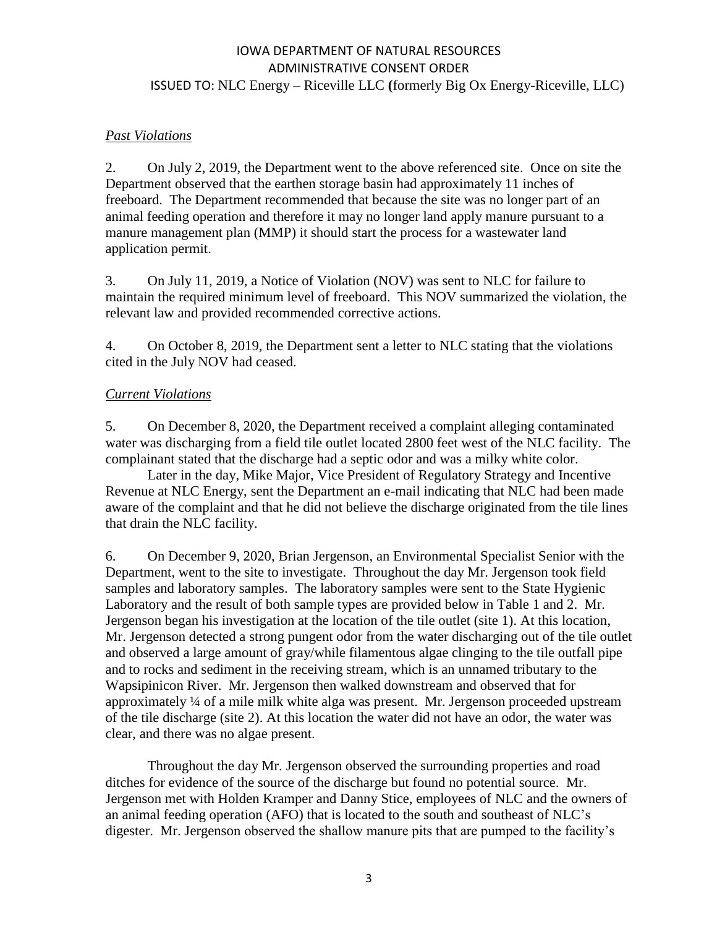#### *Past Violations*

2. On July 2, 2019, the Department went to the above referenced site. Once on site the Department observed that the earthen storage basin had approximately 11 inches of freeboard. The Department recommended that because the site was no longer part of an animal feeding operation and therefore it may no longer land apply manure pursuant to a manure management plan (MMP) it should start the process for a wastewater land application permit.

3. On July 11, 2019, a Notice of Violation (NOV) was sent to NLC for failure to maintain the required minimum level of freeboard. This NOV summarized the violation, the relevant law and provided recommended corrective actions.

4. On October 8, 2019, the Department sent a letter to NLC stating that the violations cited in the July NOV had ceased.

#### *Current Violations*

5. On December 8, 2020, the Department received a complaint alleging contaminated water was discharging from a field tile outlet located 2800 feet west of the NLC facility. The complainant stated that the discharge had a septic odor and was a milky white color.

Later in the day, Mike Major, Vice President of Regulatory Strategy and Incentive Revenue at NLC Energy, sent the Department an e-mail indicating that NLC had been made aware of the complaint and that he did not believe the discharge originated from the tile lines that drain the NLC facility.

6. On December 9, 2020, Brian Jergenson, an Environmental Specialist Senior with the Department, went to the site to investigate. Throughout the day Mr. Jergenson took field samples and laboratory samples. The laboratory samples were sent to the State Hygienic Laboratory and the result of both sample types are provided below in Table 1 and 2. Mr. Jergenson began his investigation at the location of the tile outlet (site 1). At this location, Mr. Jergenson detected a strong pungent odor from the water discharging out of the tile outlet and observed a large amount of gray/while filamentous algae clinging to the tile outfall pipe and to rocks and sediment in the receiving stream, which is an unnamed tributary to the Wapsipinicon River. Mr. Jergenson then walked downstream and observed that for approximately ¼ of a mile milk white alga was present. Mr. Jergenson proceeded upstream of the tile discharge (site 2). At this location the water did not have an odor, the water was clear, and there was no algae present.

Throughout the day Mr. Jergenson observed the surrounding properties and road ditches for evidence of the source of the discharge but found no potential source. Mr. Jergenson met with Holden Kramper and Danny Stice, employees of NLC and the owners of an animal feeding operation (AFO) that is located to the south and southeast of NLC's digester. Mr. Jergenson observed the shallow manure pits that are pumped to the facility's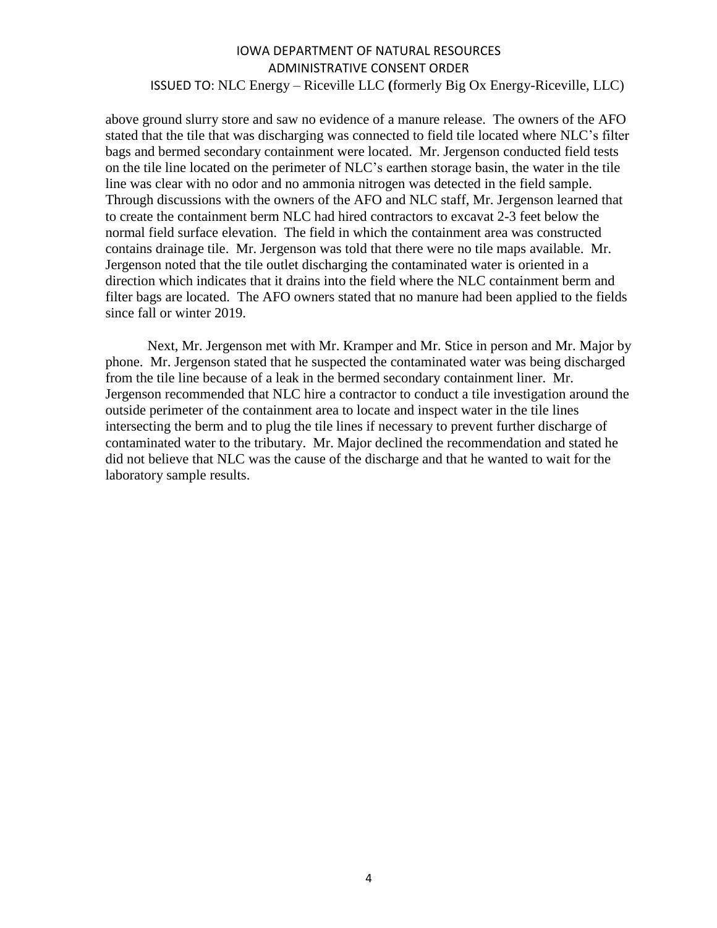above ground slurry store and saw no evidence of a manure release. The owners of the AFO stated that the tile that was discharging was connected to field tile located where NLC's filter bags and bermed secondary containment were located. Mr. Jergenson conducted field tests on the tile line located on the perimeter of NLC's earthen storage basin, the water in the tile line was clear with no odor and no ammonia nitrogen was detected in the field sample. Through discussions with the owners of the AFO and NLC staff, Mr. Jergenson learned that to create the containment berm NLC had hired contractors to excavat 2-3 feet below the normal field surface elevation. The field in which the containment area was constructed contains drainage tile. Mr. Jergenson was told that there were no tile maps available. Mr. Jergenson noted that the tile outlet discharging the contaminated water is oriented in a direction which indicates that it drains into the field where the NLC containment berm and filter bags are located. The AFO owners stated that no manure had been applied to the fields since fall or winter 2019.

Next, Mr. Jergenson met with Mr. Kramper and Mr. Stice in person and Mr. Major by phone. Mr. Jergenson stated that he suspected the contaminated water was being discharged from the tile line because of a leak in the bermed secondary containment liner. Mr. Jergenson recommended that NLC hire a contractor to conduct a tile investigation around the outside perimeter of the containment area to locate and inspect water in the tile lines intersecting the berm and to plug the tile lines if necessary to prevent further discharge of contaminated water to the tributary. Mr. Major declined the recommendation and stated he did not believe that NLC was the cause of the discharge and that he wanted to wait for the laboratory sample results.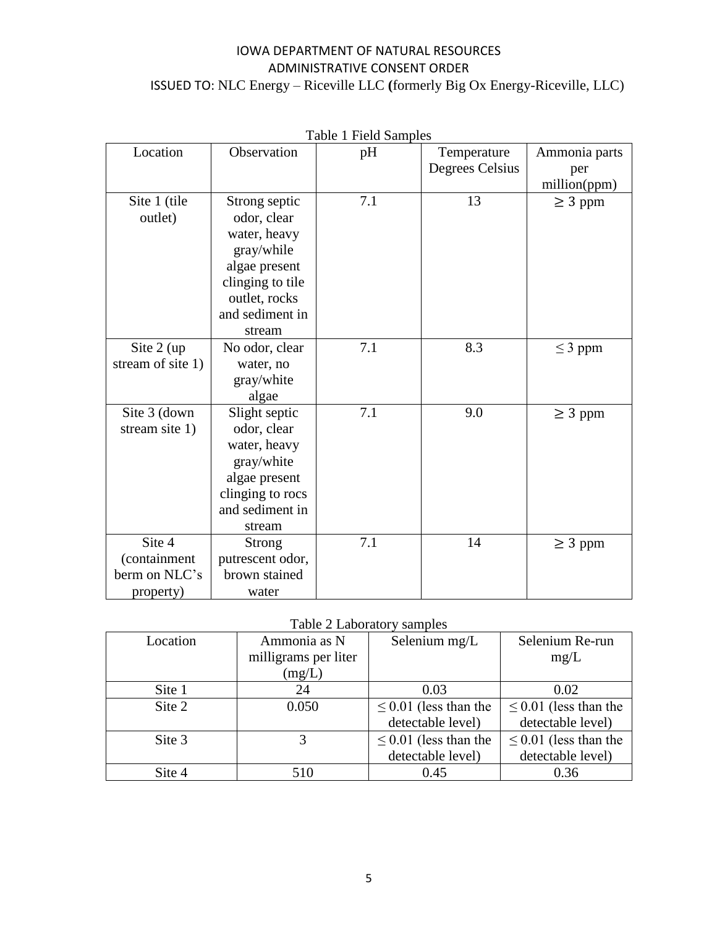| Table 1 Field Samples |                  |     |                 |               |
|-----------------------|------------------|-----|-----------------|---------------|
| Location              | Observation      | pH  | Temperature     | Ammonia parts |
|                       |                  |     | Degrees Celsius | per           |
|                       |                  |     |                 | million(ppm)  |
| Site 1 (tile          | Strong septic    | 7.1 | 13              | $\geq$ 3 ppm  |
| outlet)               | odor, clear      |     |                 |               |
|                       | water, heavy     |     |                 |               |
|                       | gray/while       |     |                 |               |
|                       | algae present    |     |                 |               |
|                       | clinging to tile |     |                 |               |
|                       | outlet, rocks    |     |                 |               |
|                       | and sediment in  |     |                 |               |
|                       | stream           |     |                 |               |
| Site $2$ (up          | No odor, clear   | 7.1 | 8.3             | $\leq$ 3 ppm  |
| stream of site 1)     | water, no        |     |                 |               |
|                       | gray/white       |     |                 |               |
|                       | algae            |     |                 |               |
| Site 3 (down          | Slight septic    | 7.1 | 9.0             | $\geq 3$ ppm  |
| stream site 1)        | odor, clear      |     |                 |               |
|                       | water, heavy     |     |                 |               |
|                       | gray/white       |     |                 |               |
|                       | algae present    |     |                 |               |
|                       | clinging to rocs |     |                 |               |
|                       | and sediment in  |     |                 |               |
|                       | stream           |     |                 |               |
| Site 4                | <b>Strong</b>    | 7.1 | 14              | $\geq$ 3 ppm  |
| (containment          | putrescent odor, |     |                 |               |
| berm on NLC's         | brown stained    |     |                 |               |
| property)             | water            |     |                 |               |

Table 2 Laboratory samples

| Location | Ammonia as N         | Selenium mg/L              | Selenium Re-run            |  |  |
|----------|----------------------|----------------------------|----------------------------|--|--|
|          | milligrams per liter |                            | mg/L                       |  |  |
|          | (mg/L)               |                            |                            |  |  |
| Site 1   | 24                   | 0.03                       | 0.02                       |  |  |
| Site 2   | 0.050                | $\leq$ 0.01 (less than the | $\leq$ 0.01 (less than the |  |  |
|          |                      | detectable level)          | detectable level)          |  |  |
| Site 3   |                      | $\leq$ 0.01 (less than the | $\leq$ 0.01 (less than the |  |  |
|          |                      | detectable level)          | detectable level)          |  |  |
| Site 4   | 510                  | 0.45                       | 0.36                       |  |  |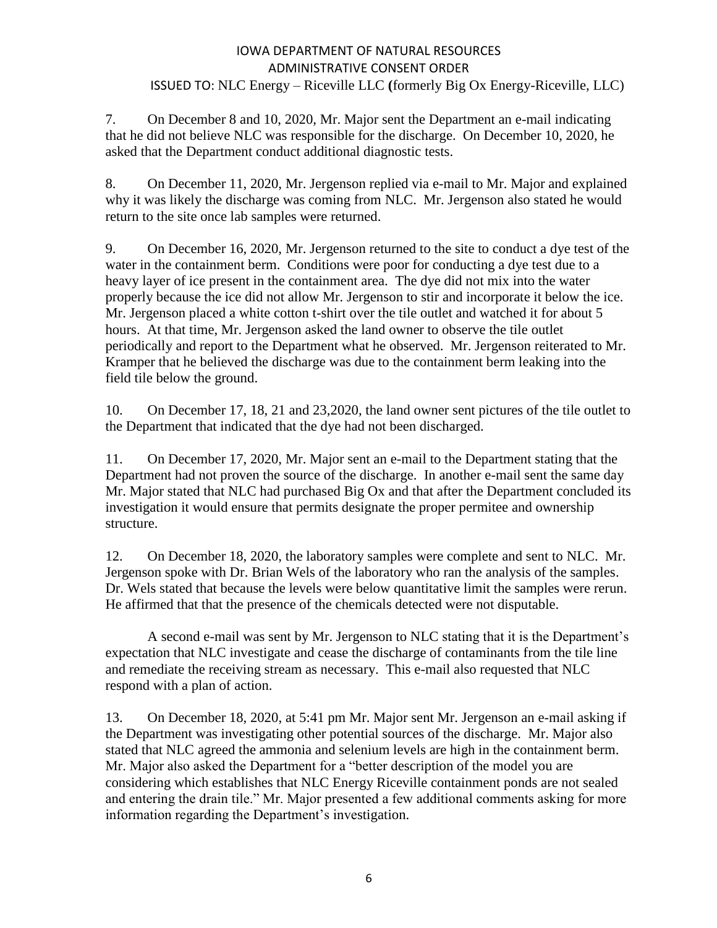7. On December 8 and 10, 2020, Mr. Major sent the Department an e-mail indicating that he did not believe NLC was responsible for the discharge. On December 10, 2020, he asked that the Department conduct additional diagnostic tests.

8. On December 11, 2020, Mr. Jergenson replied via e-mail to Mr. Major and explained why it was likely the discharge was coming from NLC. Mr. Jergenson also stated he would return to the site once lab samples were returned.

9. On December 16, 2020, Mr. Jergenson returned to the site to conduct a dye test of the water in the containment berm. Conditions were poor for conducting a dye test due to a heavy layer of ice present in the containment area. The dye did not mix into the water properly because the ice did not allow Mr. Jergenson to stir and incorporate it below the ice. Mr. Jergenson placed a white cotton t-shirt over the tile outlet and watched it for about 5 hours. At that time, Mr. Jergenson asked the land owner to observe the tile outlet periodically and report to the Department what he observed. Mr. Jergenson reiterated to Mr. Kramper that he believed the discharge was due to the containment berm leaking into the field tile below the ground.

10. On December 17, 18, 21 and 23,2020, the land owner sent pictures of the tile outlet to the Department that indicated that the dye had not been discharged.

11. On December 17, 2020, Mr. Major sent an e-mail to the Department stating that the Department had not proven the source of the discharge. In another e-mail sent the same day Mr. Major stated that NLC had purchased Big Ox and that after the Department concluded its investigation it would ensure that permits designate the proper permitee and ownership structure.

12. On December 18, 2020, the laboratory samples were complete and sent to NLC. Mr. Jergenson spoke with Dr. Brian Wels of the laboratory who ran the analysis of the samples. Dr. Wels stated that because the levels were below quantitative limit the samples were rerun. He affirmed that that the presence of the chemicals detected were not disputable.

A second e-mail was sent by Mr. Jergenson to NLC stating that it is the Department's expectation that NLC investigate and cease the discharge of contaminants from the tile line and remediate the receiving stream as necessary. This e-mail also requested that NLC respond with a plan of action.

13. On December 18, 2020, at 5:41 pm Mr. Major sent Mr. Jergenson an e-mail asking if the Department was investigating other potential sources of the discharge. Mr. Major also stated that NLC agreed the ammonia and selenium levels are high in the containment berm. Mr. Major also asked the Department for a "better description of the model you are considering which establishes that NLC Energy Riceville containment ponds are not sealed and entering the drain tile." Mr. Major presented a few additional comments asking for more information regarding the Department's investigation.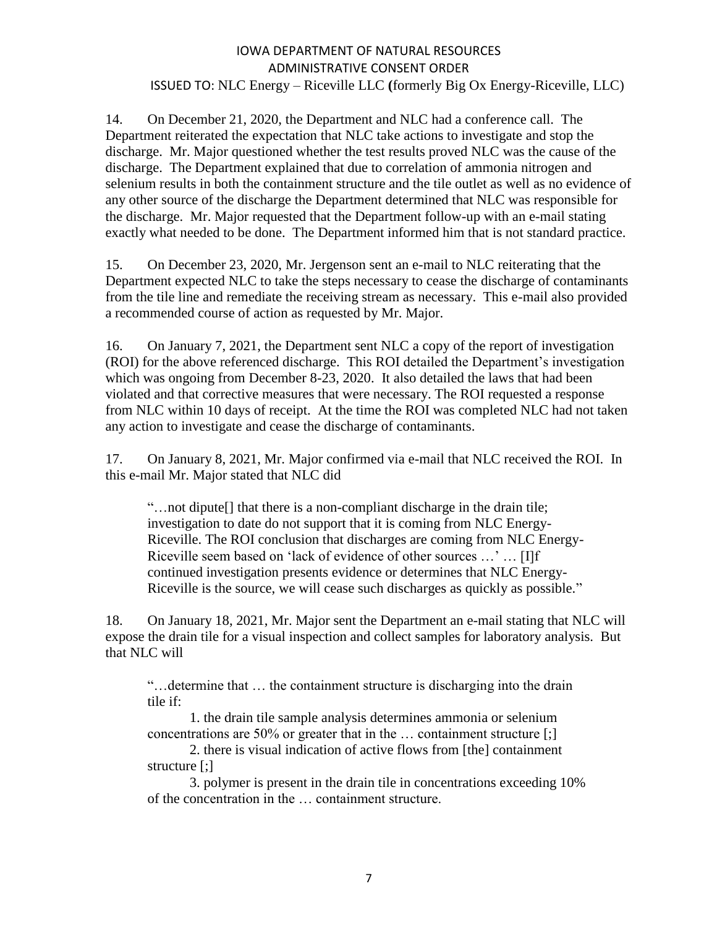14. On December 21, 2020, the Department and NLC had a conference call. The Department reiterated the expectation that NLC take actions to investigate and stop the discharge. Mr. Major questioned whether the test results proved NLC was the cause of the discharge. The Department explained that due to correlation of ammonia nitrogen and selenium results in both the containment structure and the tile outlet as well as no evidence of any other source of the discharge the Department determined that NLC was responsible for the discharge. Mr. Major requested that the Department follow-up with an e-mail stating exactly what needed to be done. The Department informed him that is not standard practice.

15. On December 23, 2020, Mr. Jergenson sent an e-mail to NLC reiterating that the Department expected NLC to take the steps necessary to cease the discharge of contaminants from the tile line and remediate the receiving stream as necessary. This e-mail also provided a recommended course of action as requested by Mr. Major.

16. On January 7, 2021, the Department sent NLC a copy of the report of investigation (ROI) for the above referenced discharge. This ROI detailed the Department's investigation which was ongoing from December 8-23, 2020. It also detailed the laws that had been violated and that corrective measures that were necessary. The ROI requested a response from NLC within 10 days of receipt. At the time the ROI was completed NLC had not taken any action to investigate and cease the discharge of contaminants.

17. On January 8, 2021, Mr. Major confirmed via e-mail that NLC received the ROI. In this e-mail Mr. Major stated that NLC did

"…not dipute[] that there is a non-compliant discharge in the drain tile; investigation to date do not support that it is coming from NLC Energy-Riceville. The ROI conclusion that discharges are coming from NLC Energy-Riceville seem based on 'lack of evidence of other sources …' … [I]f continued investigation presents evidence or determines that NLC Energy-Riceville is the source, we will cease such discharges as quickly as possible."

18. On January 18, 2021, Mr. Major sent the Department an e-mail stating that NLC will expose the drain tile for a visual inspection and collect samples for laboratory analysis. But that NLC will

"…determine that … the containment structure is discharging into the drain tile if:

1. the drain tile sample analysis determines ammonia or selenium concentrations are 50% or greater that in the … containment structure [;]

2. there is visual indication of active flows from [the] containment structure [;]

3. polymer is present in the drain tile in concentrations exceeding 10% of the concentration in the … containment structure.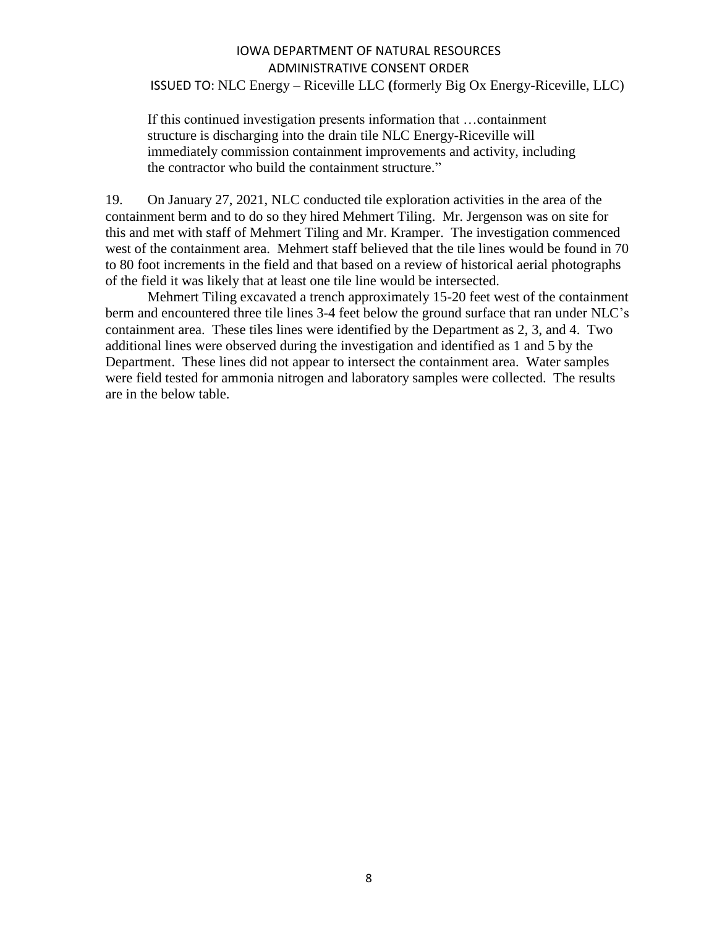If this continued investigation presents information that …containment structure is discharging into the drain tile NLC Energy-Riceville will immediately commission containment improvements and activity, including the contractor who build the containment structure."

19. On January 27, 2021, NLC conducted tile exploration activities in the area of the containment berm and to do so they hired Mehmert Tiling. Mr. Jergenson was on site for this and met with staff of Mehmert Tiling and Mr. Kramper. The investigation commenced west of the containment area. Mehmert staff believed that the tile lines would be found in 70 to 80 foot increments in the field and that based on a review of historical aerial photographs of the field it was likely that at least one tile line would be intersected.

Mehmert Tiling excavated a trench approximately 15-20 feet west of the containment berm and encountered three tile lines 3-4 feet below the ground surface that ran under NLC's containment area. These tiles lines were identified by the Department as 2, 3, and 4. Two additional lines were observed during the investigation and identified as 1 and 5 by the Department. These lines did not appear to intersect the containment area. Water samples were field tested for ammonia nitrogen and laboratory samples were collected. The results are in the below table.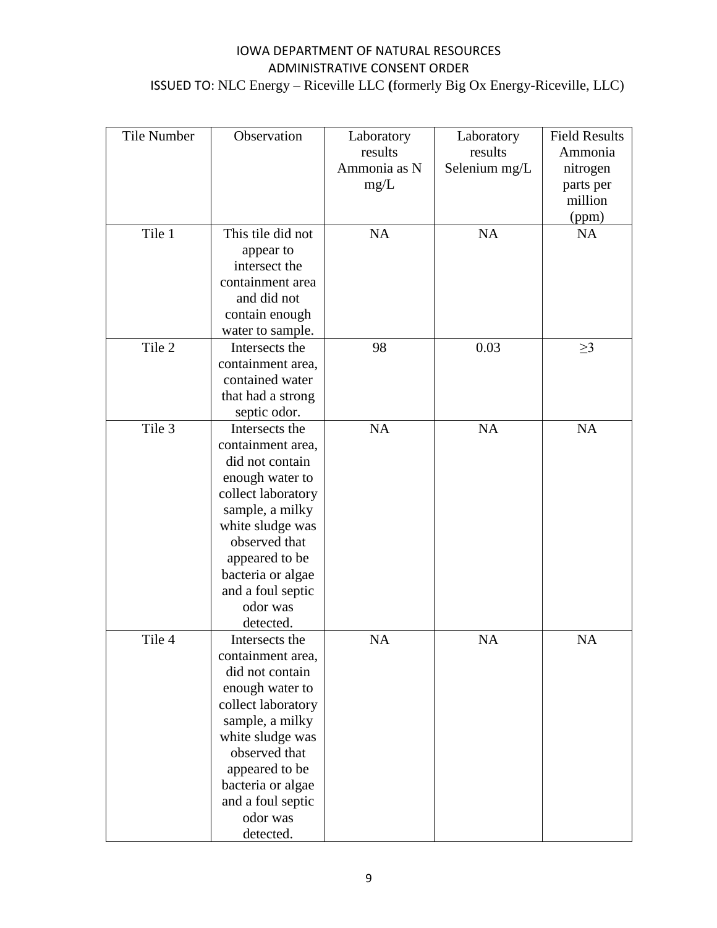| <b>Tile Number</b> | Observation        | Laboratory   | Laboratory    | <b>Field Results</b> |
|--------------------|--------------------|--------------|---------------|----------------------|
|                    |                    | results      | results       | Ammonia              |
|                    |                    | Ammonia as N | Selenium mg/L | nitrogen             |
|                    |                    | mg/L         |               | parts per            |
|                    |                    |              |               | million              |
|                    |                    |              |               | (ppm)                |
| Tile 1             | This tile did not  | <b>NA</b>    | <b>NA</b>     | <b>NA</b>            |
|                    | appear to          |              |               |                      |
|                    | intersect the      |              |               |                      |
|                    | containment area   |              |               |                      |
|                    | and did not        |              |               |                      |
|                    | contain enough     |              |               |                      |
|                    | water to sample.   |              |               |                      |
| Tile 2             | Intersects the     | 98           | 0.03          | $\geq$ 3             |
|                    | containment area,  |              |               |                      |
|                    | contained water    |              |               |                      |
|                    | that had a strong  |              |               |                      |
|                    | septic odor.       |              |               |                      |
| Tile 3             | Intersects the     | <b>NA</b>    | NA            | NA                   |
|                    | containment area,  |              |               |                      |
|                    | did not contain    |              |               |                      |
|                    | enough water to    |              |               |                      |
|                    | collect laboratory |              |               |                      |
|                    | sample, a milky    |              |               |                      |
|                    | white sludge was   |              |               |                      |
|                    | observed that      |              |               |                      |
|                    | appeared to be     |              |               |                      |
|                    | bacteria or algae  |              |               |                      |
|                    | and a foul septic  |              |               |                      |
|                    | odor was           |              |               |                      |
|                    | detected.          |              |               |                      |
| Tile 4             | Intersects the     | <b>NA</b>    | <b>NA</b>     | <b>NA</b>            |
|                    | containment area,  |              |               |                      |
|                    | did not contain    |              |               |                      |
|                    | enough water to    |              |               |                      |
|                    | collect laboratory |              |               |                      |
|                    | sample, a milky    |              |               |                      |
|                    | white sludge was   |              |               |                      |
|                    | observed that      |              |               |                      |
|                    | appeared to be     |              |               |                      |
|                    | bacteria or algae  |              |               |                      |
|                    | and a foul septic  |              |               |                      |
|                    | odor was           |              |               |                      |
|                    | detected.          |              |               |                      |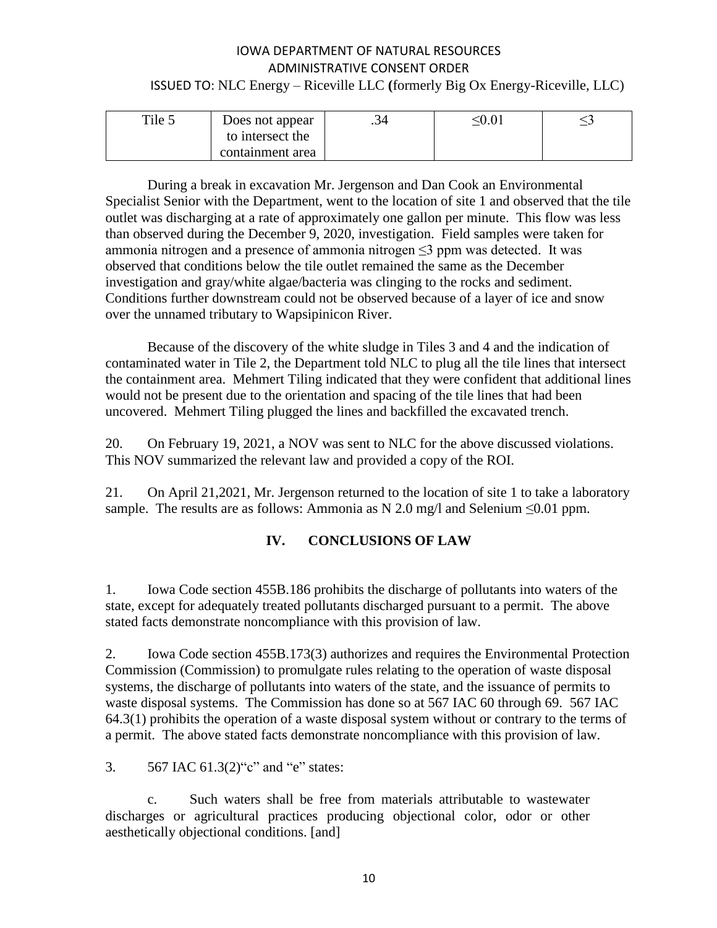| Tile 5 | Does not appear  | .34 | $\leq 0.01$ |  |
|--------|------------------|-----|-------------|--|
|        | to intersect the |     |             |  |
|        | containment area |     |             |  |

During a break in excavation Mr. Jergenson and Dan Cook an Environmental Specialist Senior with the Department, went to the location of site 1 and observed that the tile outlet was discharging at a rate of approximately one gallon per minute. This flow was less than observed during the December 9, 2020, investigation. Field samples were taken for ammonia nitrogen and a presence of ammonia nitrogen  $\leq$ 3 ppm was detected. It was observed that conditions below the tile outlet remained the same as the December investigation and gray/white algae/bacteria was clinging to the rocks and sediment. Conditions further downstream could not be observed because of a layer of ice and snow over the unnamed tributary to Wapsipinicon River.

Because of the discovery of the white sludge in Tiles 3 and 4 and the indication of contaminated water in Tile 2, the Department told NLC to plug all the tile lines that intersect the containment area. Mehmert Tiling indicated that they were confident that additional lines would not be present due to the orientation and spacing of the tile lines that had been uncovered. Mehmert Tiling plugged the lines and backfilled the excavated trench.

20. On February 19, 2021, a NOV was sent to NLC for the above discussed violations. This NOV summarized the relevant law and provided a copy of the ROI.

21. On April 21,2021, Mr. Jergenson returned to the location of site 1 to take a laboratory sample. The results are as follows: Ammonia as N 2.0 mg/l and Selenium  $\leq 0.01$  ppm.

# **IV. CONCLUSIONS OF LAW**

1. Iowa Code section 455B.186 prohibits the discharge of pollutants into waters of the state, except for adequately treated pollutants discharged pursuant to a permit. The above stated facts demonstrate noncompliance with this provision of law.

2. Iowa Code section 455B.173(3) authorizes and requires the Environmental Protection Commission (Commission) to promulgate rules relating to the operation of waste disposal systems, the discharge of pollutants into waters of the state, and the issuance of permits to waste disposal systems. The Commission has done so at 567 IAC 60 through 69. 567 IAC 64.3(1) prohibits the operation of a waste disposal system without or contrary to the terms of a permit. The above stated facts demonstrate noncompliance with this provision of law.

3. 567 IAC 61.3(2)"c" and "e" states:

c. Such waters shall be free from materials attributable to wastewater discharges or agricultural practices producing objectional color, odor or other aesthetically objectional conditions. [and]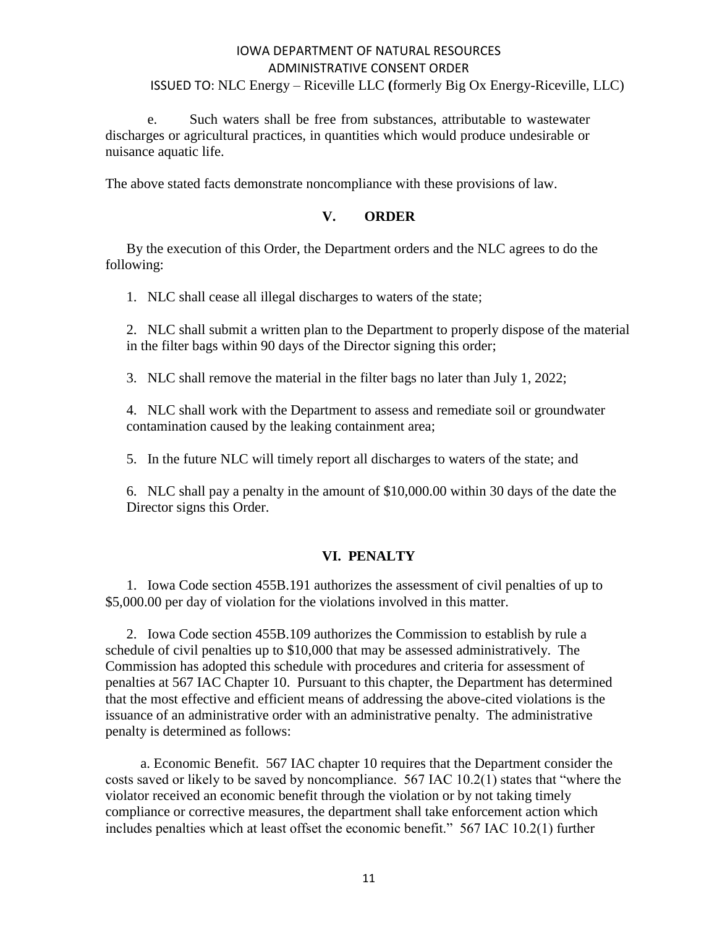e. Such waters shall be free from substances, attributable to wastewater discharges or agricultural practices, in quantities which would produce undesirable or nuisance aquatic life.

The above stated facts demonstrate noncompliance with these provisions of law.

#### **V. ORDER**

By the execution of this Order, the Department orders and the NLC agrees to do the following:

1. NLC shall cease all illegal discharges to waters of the state;

2. NLC shall submit a written plan to the Department to properly dispose of the material in the filter bags within 90 days of the Director signing this order;

3. NLC shall remove the material in the filter bags no later than July 1, 2022;

4. NLC shall work with the Department to assess and remediate soil or groundwater contamination caused by the leaking containment area;

5. In the future NLC will timely report all discharges to waters of the state; and

6. NLC shall pay a penalty in the amount of \$10,000.00 within 30 days of the date the Director signs this Order.

#### **VI. PENALTY**

1. Iowa Code section 455B.191 authorizes the assessment of civil penalties of up to \$5,000.00 per day of violation for the violations involved in this matter.

2. Iowa Code section 455B.109 authorizes the Commission to establish by rule a schedule of civil penalties up to \$10,000 that may be assessed administratively. The Commission has adopted this schedule with procedures and criteria for assessment of penalties at 567 IAC Chapter 10. Pursuant to this chapter, the Department has determined that the most effective and efficient means of addressing the above-cited violations is the issuance of an administrative order with an administrative penalty. The administrative penalty is determined as follows:

 a. Economic Benefit. 567 IAC chapter 10 requires that the Department consider the costs saved or likely to be saved by noncompliance. 567 IAC 10.2(1) states that "where the violator received an economic benefit through the violation or by not taking timely compliance or corrective measures, the department shall take enforcement action which includes penalties which at least offset the economic benefit." 567 IAC 10.2(1) further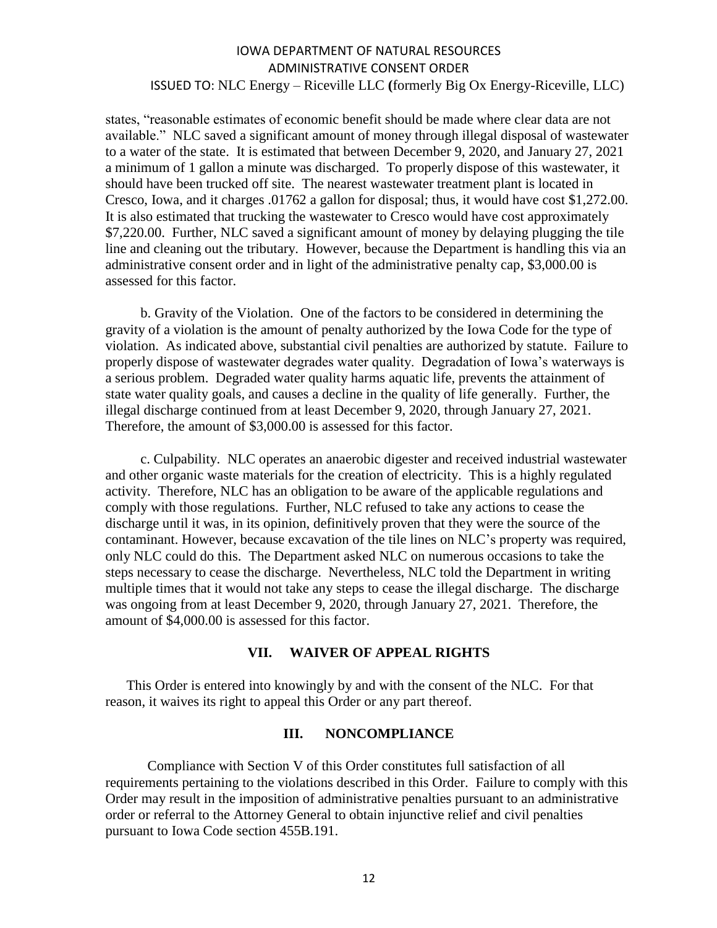states, "reasonable estimates of economic benefit should be made where clear data are not available." NLC saved a significant amount of money through illegal disposal of wastewater to a water of the state. It is estimated that between December 9, 2020, and January 27, 2021 a minimum of 1 gallon a minute was discharged. To properly dispose of this wastewater, it should have been trucked off site. The nearest wastewater treatment plant is located in Cresco, Iowa, and it charges .01762 a gallon for disposal; thus, it would have cost \$1,272.00. It is also estimated that trucking the wastewater to Cresco would have cost approximately \$7,220.00. Further, NLC saved a significant amount of money by delaying plugging the tile line and cleaning out the tributary. However, because the Department is handling this via an administrative consent order and in light of the administrative penalty cap, \$3,000.00 is assessed for this factor.

 b. Gravity of the Violation. One of the factors to be considered in determining the gravity of a violation is the amount of penalty authorized by the Iowa Code for the type of violation. As indicated above, substantial civil penalties are authorized by statute. Failure to properly dispose of wastewater degrades water quality. Degradation of Iowa's waterways is a serious problem. Degraded water quality harms aquatic life, prevents the attainment of state water quality goals, and causes a decline in the quality of life generally. Further, the illegal discharge continued from at least December 9, 2020, through January 27, 2021. Therefore, the amount of \$3,000.00 is assessed for this factor.

 c. Culpability. NLC operates an anaerobic digester and received industrial wastewater and other organic waste materials for the creation of electricity. This is a highly regulated activity. Therefore, NLC has an obligation to be aware of the applicable regulations and comply with those regulations. Further, NLC refused to take any actions to cease the discharge until it was, in its opinion, definitively proven that they were the source of the contaminant. However, because excavation of the tile lines on NLC's property was required, only NLC could do this. The Department asked NLC on numerous occasions to take the steps necessary to cease the discharge. Nevertheless, NLC told the Department in writing multiple times that it would not take any steps to cease the illegal discharge. The discharge was ongoing from at least December 9, 2020, through January 27, 2021. Therefore, the amount of \$4,000.00 is assessed for this factor.

#### **VII. WAIVER OF APPEAL RIGHTS**

This Order is entered into knowingly by and with the consent of the NLC. For that reason, it waives its right to appeal this Order or any part thereof.

#### **III. NONCOMPLIANCE**

Compliance with Section V of this Order constitutes full satisfaction of all requirements pertaining to the violations described in this Order. Failure to comply with this Order may result in the imposition of administrative penalties pursuant to an administrative order or referral to the Attorney General to obtain injunctive relief and civil penalties pursuant to Iowa Code section 455B.191.